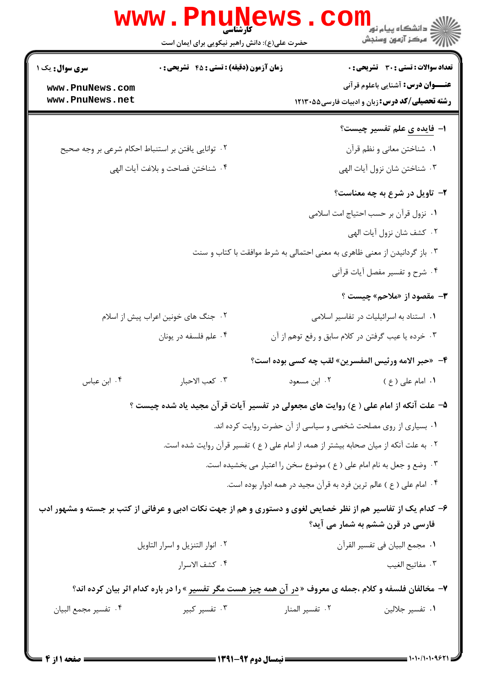| <b>سری سوال :</b> یک ۱ | <b>زمان آزمون (دقیقه) : تستی : 45 قشریحی : 0</b>   | <b>تعداد سوالات : تستی : 30 - تشریحی : 0</b>                                                                                                     |  |
|------------------------|----------------------------------------------------|--------------------------------------------------------------------------------------------------------------------------------------------------|--|
| www.PnuNews.com        |                                                    | <b>عنـــوان درس:</b> آشنایی باعلوم قرآنی                                                                                                         |  |
| www.PnuNews.net        |                                                    | <b>رشته تحصیلی/کد درس:</b> زبان و ادبیات فارسی5۵×۱۲۱۳                                                                                            |  |
|                        |                                                    | ۱– فایده ی علم تفسیر چیست؟                                                                                                                       |  |
|                        | ۰۲ توانایی یافتن بر استنباط احکام شرعی بر وجه صحیح | ۰۱ شناختن معاني و نظم قرأن                                                                                                                       |  |
|                        | ۰۴ شناختن فصاحت و بلاغت آيات الهي                  | ۰۳ شناختن شان نزول آيات الهي                                                                                                                     |  |
|                        |                                                    | ۲- تاویل در شرع به چه معناست؟                                                                                                                    |  |
|                        |                                                    | ٠١ نزول قرآن بر حسب احتياج امت اسلامي                                                                                                            |  |
|                        |                                                    | ٠٢ كشف شان نزول آيات الهي                                                                                                                        |  |
|                        |                                                    | ۰۳ باز گردانیدن از معنی ظاهری به معنی احتمالی به شرط موافقت با کتاب و سنت                                                                        |  |
|                        |                                                    | ۰۴ شرح و تفسیر مفصل آیات قرآنی                                                                                                                   |  |
|                        |                                                    | <b>۳</b> - مقصود از «ملاحم» چیست ؟                                                                                                               |  |
|                        | ۰۲ جنگ های خونین اعراب پیش از اسلام                | ۰۱ استناد به اسرائیلیات در تفاسیر اسلامی                                                                                                         |  |
|                        | ۰۴ علم فلسفه در يونان                              | ۰۳ خرده یا عیب گرفتن در کلام سابق و رفع توهم از آن                                                                                               |  |
|                        |                                                    | ۴- «حبر الامه ورئيس المفسرين» لقب چه كسي بوده است؟                                                                                               |  |
| ۰۴ ابن عباس            | ٠٣ كعب الاحبار                                     | ۰۱ امام علی ( ع ) مسعود ) در این مسعود ( ع ) مسعود ) .                                                                                           |  |
|                        |                                                    | ۵– علت آنکه از امام علی ( ع) روایت های مجعولی در تفسیر آیات قرآن مجید یاد شده چیست ؟                                                             |  |
|                        |                                                    | ۰۱ بسیاری از روی مصلحت شخصی و سیاسی از آن حضرت روایت کرده اند.                                                                                   |  |
|                        |                                                    | ۰۲ به علت آنکه از میان صحابه بیشتر از همه، از امام علی ( ع ) تفسیر قرآن روایت شده است.                                                           |  |
|                        |                                                    | ۰۳ وضع و جعل به نام امام علی ( ع ) موضوع سخن را اعتبار می بخشیده است.                                                                            |  |
|                        |                                                    | ۰۴ امام علی ( ع ) عالم ترین فرد به قرآن مجید در همه ادوار بوده است.                                                                              |  |
|                        |                                                    | ۶– کدام یک از تفاسیر هم از نظر خصایص لغوی و دستوری و هم از جهت نکات ادبی و عرفانی از کتب بر جسته و مشهور ادب<br>فارسی در قرن ششم به شمار می آید؟ |  |
|                        | ۰۲ انوار التنزيل و اسرار التاويل                   | ٠١ مجمع البيان في تفسير القرآن                                                                                                                   |  |
|                        | ۰۴ كشف الاسرار                                     | ٠٣ مفاتيح الغيب                                                                                                                                  |  |
|                        |                                                    | ۷- مخالفان فلسفه و کلام ،جمله ی معروف « <mark>در آن همه چیز هست مگر تفسیر</mark> » را در باره کدام اثر بیان کرده اند؟                            |  |
| ۰۴ تفسير مجمع البيان   | ۰۳ تفسیر کبیر                                      | ٠٢ تفسير المنار<br>٠١ تفسير جلالين                                                                                                               |  |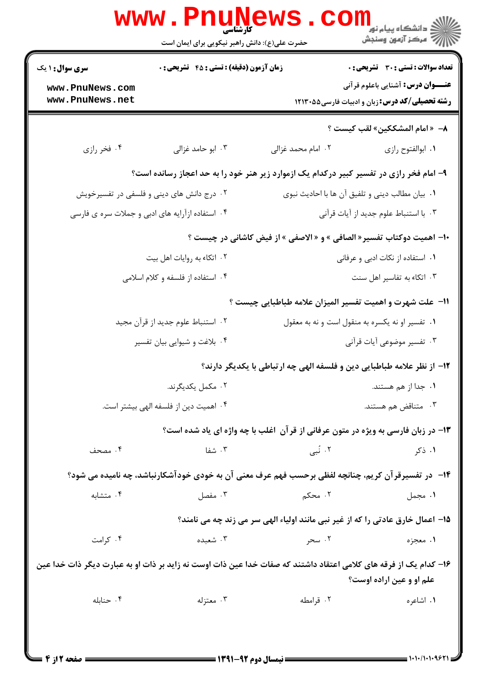|                                                                      | <b>www.Pnune</b><br>حضرت علی(ع): دانش راهبر نیکویی برای ایمان است |                                                                                                                  | ر دانشڪاه پيام نور <mark>−</mark><br>ا∛ مرکز آزمون وسنجش                                          |
|----------------------------------------------------------------------|-------------------------------------------------------------------|------------------------------------------------------------------------------------------------------------------|---------------------------------------------------------------------------------------------------|
| <b>سری سوال : ۱ یک</b><br>زمان آزمون (دقیقه) : تستی : 45 آتشریحی : 0 |                                                                   | تعداد سوالات : تستي : 30 - تشريحي : 0                                                                            |                                                                                                   |
| www.PnuNews.com<br>www.PnuNews.net                                   |                                                                   |                                                                                                                  | <b>عنـــوان درس:</b> آشنایی باعلوم قرآنی<br><b>رشته تحصیلی/کد درس:</b> زبان و ادبیات فارسی۵۵-۱۲۱۳ |
|                                                                      |                                                                   |                                                                                                                  | ٨– «امام المشككين» لقب كيست ؟                                                                     |
| ۰۴ فخر رازی                                                          | ۰۳ ابو حامد غزالی                                                 | ۰۲ امام محمد غزالی                                                                                               | ٠١. ابوالفتوح رازي                                                                                |
|                                                                      |                                                                   | ۹- امام فخر رازی در تفسیر کبیر درکدام یک ازموارد زیر هنر خود را به حد اعجاز رسانده است؟                          |                                                                                                   |
|                                                                      | ۰۲ درج دانش های دینی و فلسفی در تفسیرخویش                         | ٠١. بيان مطالب ديني و تلفيق آن ها با احاديث نبوي                                                                 |                                                                                                   |
|                                                                      | ۰۴ استفاده ازآرایه های ادبی و جملات سره ی فارسی                   |                                                                                                                  | ٠٣ با استنباط علوم جديد از آيات قرآنى                                                             |
|                                                                      |                                                                   | ∙ا- اهمیت دوکتاب تفسیر« الصافی » و « الاصفی » از فیض کاشانی در چیست ؟                                            |                                                                                                   |
|                                                                      | ۰۲ اتکاء به روایات اهل بیت                                        |                                                                                                                  | ۰۱ استفاده از نکات ادبی و عرفانی                                                                  |
|                                                                      | ۰۴ استفاده از فلسفه و کلام اسلامی                                 |                                                                                                                  | ۰۳ اتکاء به تفاسیر اهل سنت                                                                        |
|                                                                      |                                                                   | 11- علت شهرت و اهمیت تفسیر المیزان علامه طباطبایی چیست ؟                                                         |                                                                                                   |
|                                                                      | ۰۲ استنباط علوم جدید از قرآن مجید                                 | ۰۱ تفسیر او نه یکسره به منقول است و نه به معقول                                                                  |                                                                                                   |
|                                                                      | ۰۴ بلاغت و شیوایی بیان تفسیر                                      |                                                                                                                  | ۰۳ تفسیر موضوعی آیات قرآنی                                                                        |
|                                                                      |                                                                   | ۱۲– از نظر علامه طباطبایی دین و فلسفه الهی چه ارتباطی با یکدیگر دارند؟                                           |                                                                                                   |
|                                                                      | ۰۲ مکمل یکدیگرند.                                                 |                                                                                                                  | ۰۱ جدا از هم هستند.                                                                               |
|                                                                      | ۰۴ اهمیت دین از فلسفه الهی بیشتر است.                             |                                                                                                                  | ۰۳ متناقض هم هستند.                                                                               |
|                                                                      |                                                                   | ۱۳- در زبان فارسی به ویژه در متون عرفانی از قرآن  غلب با چه واژه ای یاد شده است؟                                 |                                                                                                   |
| ۰۴ مصحف                                                              | ۰۳ شفا                                                            | ۲. نُبی                                                                                                          | ۰۱ ذکر                                                                                            |
|                                                                      |                                                                   | ۱۴- در تفسیرقرآن کریم، چنانچه لفظی برحسب فهم عرف معنی آن به خودی خودآشکارنباشد، چه نامیده می شود؟                |                                                                                                   |
| ۰۴ متشابه                                                            | ۰۳ مفصل                                                           | ۲. محکم                                                                                                          | ۰۱ مجمل                                                                                           |
|                                                                      |                                                                   | 15- اعمال خارق عادتی را که از غیر نبی مانند اولیاء الهی سر می زند چه می نامند؟                                   |                                                                                                   |
| ۰۴ کرامت                                                             | ۰۳ شعبده                                                          | ۰۲ سحر                                                                                                           | ۱. معجزه                                                                                          |
|                                                                      |                                                                   | ۱۶– کدام یک از فرقه های کلامی اعتقاد داشتند که صفات خدا عین ذات اوست نه زاید بر ذات او به عبارت دیگر ذات خدا عین | علم او و عین اراده اوست؟                                                                          |
| ۰۴ حنابله                                                            | ۰۳ معتزله                                                         | ۰۲ قرامطه                                                                                                        | ۰۱ اشاعره                                                                                         |
|                                                                      |                                                                   |                                                                                                                  |                                                                                                   |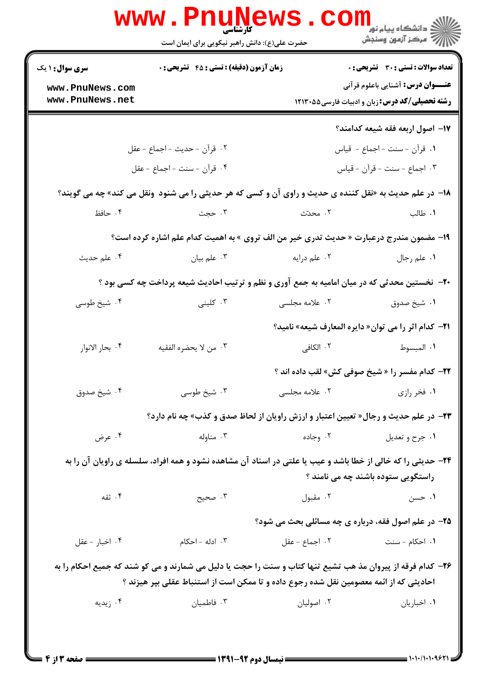|                                    | <b>www.PnuNews</b><br><b>کارشناسی</b><br>حضرت علی(ع): دانش راهبر نیکویی برای ایمان است                      |                | ر دانشڪاه پيام نور <mark>−</mark><br>ا∛ مرکز آزمون وسنڊش                                          |
|------------------------------------|-------------------------------------------------------------------------------------------------------------|----------------|---------------------------------------------------------------------------------------------------|
| <b>سری سوال : ۱ یک</b>             | <b>زمان آزمون (دقیقه) : تستی : 45 گشریحی : 0</b>                                                            |                | <b>تعداد سوالات : تستي : 30 ٪ تشريحي : 0</b>                                                      |
| www.PnuNews.com<br>www.PnuNews.net |                                                                                                             |                | <b>عنـــوان درس:</b> آشنایی باعلوم قرآنی<br><b>رشته تحصیلی/کد درس:</b> زبان و ادبیات فارسی۵۵-۱۲۱۳ |
|                                    |                                                                                                             |                | 17- اصول اربعه فقه شيعه كدامند؟                                                                   |
|                                    | ٢. قرآن - حديث - اجماع - عقل                                                                                |                | ١. قرآن - سنت - اجماع - قياس                                                                      |
|                                    | ۴. قرآن - سنت - اجماع - عقل                                                                                 |                | ۰۳ اجماع - سنت - قرآن - قياس                                                                      |
|                                    | ۱۸- در علم حدیث به «نقل کننده ی حدیث و راوی آن و کسی که هر حدیثی را می شنود  ونقل می کند» چه می گویند؟      |                |                                                                                                   |
| ۰۴ حافظ                            | ۰۳ حجت                                                                                                      | ٢. محدّث       | ۰۱ طالب                                                                                           |
|                                    | ۱۹- مضمون مندرج درعبارت « حدیث تدری خیر من الف تروی » به اهمیت کدام علم اشاره کرده است؟                     |                |                                                                                                   |
| ۰۴ علم حديث                        | ۰۳ علم بيان                                                                                                 | ۰۲ علم درايه   | ۰۱ علم رجال                                                                                       |
|                                    | <b>۲۰</b> - نخستین محدثی که در میان امامیه به جمع آوری و نظم و ترتیب احادیث شیعه پرداخت چه کسی بود ؟        |                |                                                                                                   |
| ۰۴ شیخ طوسی                        | ۰۳ کلینی                                                                                                    | ۲. علامه مجلسی | ۰۱ شیخ صدوق                                                                                       |
|                                    |                                                                                                             |                | <b>٢١-</b> كدام اثر را مي توان« دايره المعارف شيعه» ناميد؟                                        |
| ۰۴ بحار الانوار                    | ۰۳ من لا يحضره الفقيه                                                                                       | ۲. الکافی      | ٠١ المبسوط                                                                                        |
|                                    |                                                                                                             |                | <b>۲۲</b> - کدام مفسر را « شیخ صوفی کش» لقب داده اند ؟                                            |
| ۰۴ شيخ صدوق                        | ۰۳ شیخ طوسی                                                                                                 | ۰۲ علامه مجلسی | ۰۱ فخر رازی                                                                                       |
|                                    | <b>۲۳</b> - در علم حدیث و رجال« تعیین اعتبار و ارزش راویان از لحاظ صدق و کذب» چه نام دارد؟                  |                |                                                                                                   |
| ۰۴ عرض                             | ۰۲ وجاده<br>۰۳ مناوله                                                                                       |                | ۰۱ جرح و تعديل                                                                                    |
|                                    | ۲۴- حدیثی را که خالی از خطا باشد و عیب یا علتی در اسناد آن مشاهده نشود و همه افراد، سلسله ی راویان آن را به |                |                                                                                                   |
|                                    |                                                                                                             |                | راستگویی ستوده باشند چه می نامند ؟                                                                |
| ۰۴ ثقه                             | ۰۳ صحيح                                                                                                     | ۰۲ مقبول       | ۰۱ حسن                                                                                            |
|                                    |                                                                                                             |                | <b>۲۵- در علم اصول فقه، درباره ی چه مسائلی بحث می شود؟</b>                                        |
| ۰۴ اخبار - عقل                     | ۰۳ ادله – احکام                                                                                             | ٠٢ اجماع - عقل | ۰۱ احکام - سنت                                                                                    |
|                                    | ۲۶- کدام فرقه از پیروان مذ هب تشیع تنها کتاب و سنت را حجت یا دلیل می شمارند و می کو شند که جمیع احکام را به |                |                                                                                                   |
|                                    | احادیثی که از ائمه معصومین نقل شده رجوع داده و تا ممکن است از استنباط عقلی بپر هیزند ؟                      |                |                                                                                                   |
| ۰۴ زیدیه                           | ۰۳ فاطمیان                                                                                                  | ۰۲ اصولیان     | ٠١. اخباريان                                                                                      |
|                                    |                                                                                                             |                |                                                                                                   |
|                                    |                                                                                                             |                |                                                                                                   |